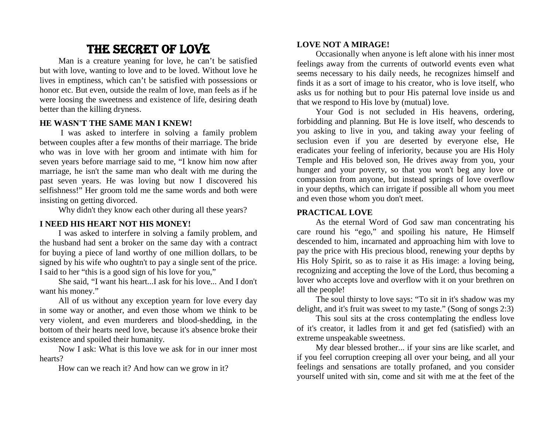# THE SECRET OF LOVE

Man is a creature yeaning for love, he can't be satisfied but with love, wanting to love and to be loved. Without love he lives in emptiness, which can't be satisfied with possessions or honor etc. But even, outside the realm of love, man feels as if he were loosing the sweetness and existence of life, desiring death better than the killing dryness.

## **HE WASN'T THE SAME MAN I KNEW!**

I was asked to interfere in solving a family problem between couples after a few months of their marriage. The bride who was in love with her groom and intimate with him for seven years before marriage said to me, "I know him now after marriage, he isn't the same man who dealt with me during the past seven years. He was loving but now I discovered his selfishness!" Her groom told me the same words and both were insisting on getting divorced.

Why didn't they know each other during all these years?

# **I NEED HIS HEART NOT HIS MONEY!**

I was asked to interfere in solving a family problem, and the husband had sent a broker on the same day with a contract for buying a piece of land worthy of one million dollars, to be signed by his wife who oughtn't to pay a single sent of the price. I said to her "this is a good sign of his love for you,"

She said, "I want his heart...I ask for his love... And I don't want his money."

All of us without any exception yearn for love every day in some way or another, and even those whom we think to be very violent, and even murderers and blood-shedding, in the bottom of their hearts need love, because it's absence broke their existence and spoiled their humanity.

Now I ask: What is this love we ask for in our inner most hearts?

How can we reach it? And how can we grow in it?

# **LOVE NOT A MIRAGE!**

Occasionally when anyone is left alone with his inner most feelings away from the currents of outworld events even what seems necessary to his daily needs, he recognizes himself and finds it as a sort of image to his creator, who is love itself, who asks us for nothing but to pour His paternal love inside us and that we respond to His love by (mutual) love.

Your God is not secluded in His heavens, ordering, forbidding and planning. But He is love itself, who descends to you asking to live in you, and taking away your feeling of seclusion even if you are deserted by everyone else, He eradicates your feeling of inferiority, because you are His Holy Temple and His beloved son, He drives away from you, your hunger and your poverty, so that you won't beg any love or compassion from anyone, but instead springs of love overflow in your depths, which can irrigate if possible all whom you meet and even those whom you don't meet.

## **PRACTICAL LOVE**

As the eternal Word of God saw man concentrating his care round his "ego," and spoiling his nature, He Himself descended to him, incarnated and approaching him with love to pay the price with His precious blood, renewing your depths by His Holy Spirit, so as to raise it as His image: a loving being, recognizing and accepting the love of the Lord, thus becoming a lover who accepts love and overflow with it on your brethren on all the people!

The soul thirsty to love says: "To sit in it's shadow was my delight, and it's fruit was sweet to my taste." (Song of songs 2:3)

This soul sits at the cross contemplating the endless love of it's creator, it ladles from it and get fed (satisfied) with an extreme unspeakable sweetness.

My dear blessed brother... if your sins are like scarlet, and if you feel corruption creeping all over your being, and all your feelings and sensations are totally profaned, and you consider yourself united with sin, come and sit with me at the feet of the